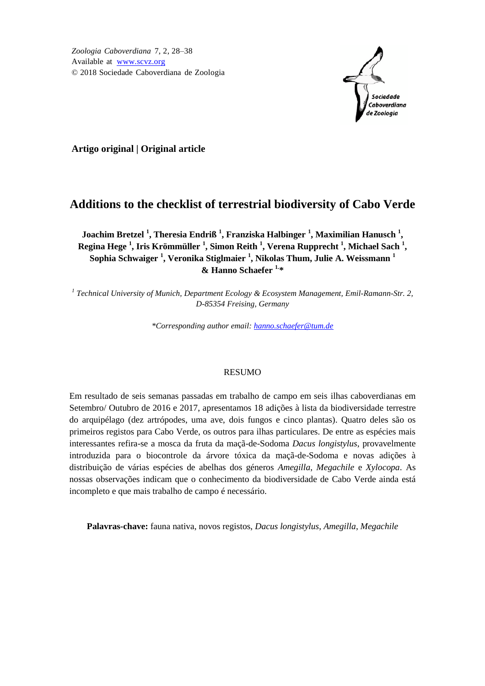*Zoologia Caboverdiana* 7, 2, 28–38 Available at [www.scvz.org](http://www.scvz.org/) © 2018 Sociedade Caboverdiana de Zoologia



**Artigo original | Original article**

# **Additions to the checklist of terrestrial biodiversity of Cabo Verde**

**Joachim Bretzel <sup>1</sup> , Theresia Endriß <sup>1</sup> , Franziska Halbinger <sup>1</sup> , Maximilian Hanusch <sup>1</sup> , Regina Hege <sup>1</sup> , Iris Krömmüller <sup>1</sup> , Simon Reith <sup>1</sup> , Verena Rupprecht <sup>1</sup> , Michael Sach <sup>1</sup> , Sophia Schwaiger <sup>1</sup> , Veronika Stiglmaier <sup>1</sup> , Nikolas Thum, Julie A. Weissmann <sup>1</sup> & Hanno Schaefer 1.\***

*1 Technical University of Munich, Department Ecology & Ecosystem Management, Emil-Ramann-Str. 2, D-85354 Freising, Germany*

*\*Corresponding author email: [hanno.schaefer@tum.de](mailto:hanno.schaefer@tum.de)*

### RESUMO

Em resultado de seis semanas passadas em trabalho de campo em seis ilhas caboverdianas em Setembro/ Outubro de 2016 e 2017, apresentamos 18 adições à lista da biodiversidade terrestre do arquipélago (dez artrópodes, uma ave, dois fungos e cinco plantas). Quatro deles são os primeiros registos para Cabo Verde, os outros para ilhas particulares. De entre as espécies mais interessantes refira-se a mosca da fruta da maçã-de-Sodoma *Dacus longistylus*, provavelmente introduzida para o biocontrole da árvore tóxica da maçã-de-Sodoma e novas adições à distribuição de várias espécies de abelhas dos géneros *Amegilla*, *Megachile* e *Xylocopa*. As nossas observações indicam que o conhecimento da biodiversidade de Cabo Verde ainda está incompleto e que mais trabalho de campo é necessário.

**Palavras-chave:** fauna nativa, novos registos, *Dacus longistylus*, *Amegilla*, *Megachile*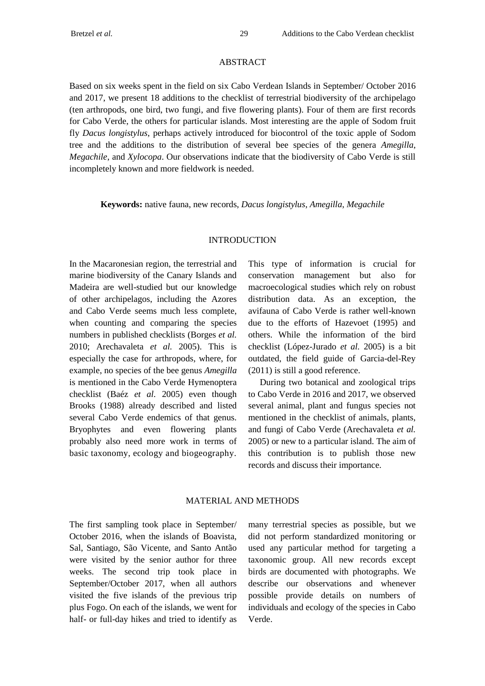#### ABSTRACT

Based on six weeks spent in the field on six Cabo Verdean Islands in September/ October 2016 and 2017, we present 18 additions to the checklist of terrestrial biodiversity of the archipelago (ten arthropods, one bird, two fungi, and five flowering plants). Four of them are first records for Cabo Verde, the others for particular islands. Most interesting are the apple of Sodom fruit fly *Dacus longistylus*, perhaps actively introduced for biocontrol of the toxic apple of Sodom tree and the additions to the distribution of several bee species of the genera *Amegilla*, *Megachile*, and *Xylocopa*. Our observations indicate that the biodiversity of Cabo Verde is still incompletely known and more fieldwork is needed.

**Keywords:** native fauna, new records, *Dacus longistylus*, *Amegilla*, *Megachile*

#### INTRODUCTION

In the Macaronesian region, the terrestrial and marine biodiversity of the Canary Islands and Madeira are well-studied but our knowledge of other archipelagos, including the Azores and Cabo Verde seems much less complete, when counting and comparing the species numbers in published checklists (Borges *et al.* 2010; Arechavaleta *et al.* 2005). This is especially the case for arthropods, where, for example, no species of the bee genus *Amegilla* is mentioned in the Cabo Verde Hymenoptera checklist (Baéz *et al.* 2005) even though Brooks (1988) already described and listed several Cabo Verde endemics of that genus. Bryophytes and even flowering plants probably also need more work in terms of basic taxonomy, ecology and biogeography.

This type of information is crucial for conservation management but also for macroecological studies which rely on robust distribution data. As an exception, the avifauna of Cabo Verde is rather well-known due to the efforts of Hazevoet (1995) and others. While the information of the bird checklist (López-Jurado *et al.* 2005) is a bit outdated, the field guide of Garcia-del-Rey (2011) is still a good reference.

During two botanical and zoological trips to Cabo Verde in 2016 and 2017, we observed several animal, plant and fungus species not mentioned in the checklist of animals, plants, and fungi of Cabo Verde (Arechavaleta *et al.* 2005) or new to a particular island. The aim of this contribution is to publish those new records and discuss their importance.

#### MATERIAL AND METHODS

The first sampling took place in September/ October 2016, when the islands of Boavista, Sal, Santiago, São Vicente, and Santo Antão were visited by the senior author for three weeks. The second trip took place in September/October 2017, when all authors visited the five islands of the previous trip plus Fogo. On each of the islands, we went for half- or full-day hikes and tried to identify as many terrestrial species as possible, but we did not perform standardized monitoring or used any particular method for targeting a taxonomic group. All new records except birds are documented with photographs. We describe our observations and whenever possible provide details on numbers of individuals and ecology of the species in Cabo Verde.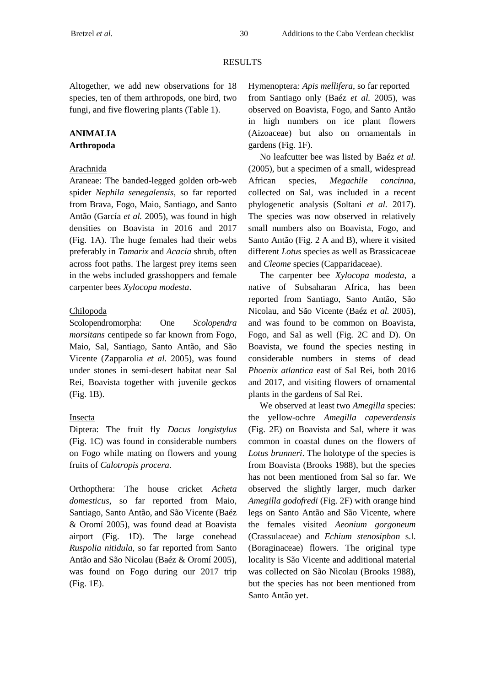# RESULTS

Altogether, we add new observations for 18 species, ten of them arthropods, one bird, two fungi, and five flowering plants (Table 1).

# **ANIMALIA Arthropoda**

## Arachnida

Araneae: The banded-legged golden orb-web spider *Nephila senegalensis,* so far reported from Brava, Fogo, Maio, Santiago, and Santo Antão (García *et al.* 2005), was found in high densities on Boavista in 2016 and 2017 (Fig. 1A). The huge females had their webs preferably in *Tamarix* and *Acacia* shrub, often across foot paths. The largest prey items seen in the webs included grasshoppers and female carpenter bees *Xylocopa modesta*.

## Chilopoda

Scolopendromorpha: One *Scolopendra morsitans* centipede so far known from Fogo, Maio, Sal, Santiago, Santo Antão, and São Vicente (Zapparolia *et al.* 2005), was found under stones in semi-desert habitat near Sal Rei, Boavista together with juvenile geckos (Fig. 1B).

### Insecta

Diptera: The fruit fly *Dacus longistylus* (Fig. 1C) was found in considerable numbers on Fogo while mating on flowers and young fruits of *Calotropis procera*.

Orthopthera: The house cricket *Acheta domesticus*, so far reported from Maio, Santiago, Santo Antão, and São Vicente (Baéz & Oromí 2005), was found dead at Boavista airport (Fig. 1D). The large conehead *Ruspolia nitidula*, so far reported from Santo Antão and São Nicolau (Baéz & Oromí 2005), was found on Fogo during our 2017 trip (Fig. 1E).

Hymenoptera*: Apis mellifera*, so far reported from Santiago only (Baéz *et al.* 2005), was observed on Boavista, Fogo, and Santo Antão in high numbers on ice plant flowers (Aizoaceae) but also on ornamentals in gardens (Fig. 1F).

No leafcutter bee was listed by Baéz *et al.* (2005), but a specimen of a small, widespread African species, *Megachile concinna*, collected on Sal, was included in a recent phylogenetic analysis (Soltani *et al.* 2017). The species was now observed in relatively small numbers also on Boavista, Fogo, and Santo Antão (Fig. 2 A and B), where it visited different *Lotus* species as well as Brassicaceae and *Cleome* species (Capparidaceae).

The carpenter bee *Xylocopa modesta*, a native of Subsaharan Africa, has been reported from Santiago, Santo Antão, São Nicolau, and São Vicente (Baéz *et al.* 2005), and was found to be common on Boavista, Fogo, and Sal as well (Fig. 2C and D). On Boavista, we found the species nesting in considerable numbers in stems of dead *Phoenix atlantica* east of Sal Rei, both 2016 and 2017, and visiting flowers of ornamental plants in the gardens of Sal Rei.

We observed at least two *Amegilla* species: the yellow-ochre *Amegilla capeverdensis* (Fig. 2E) on Boavista and Sal, where it was common in coastal dunes on the flowers of *Lotus brunneri*. The holotype of the species is from Boavista (Brooks 1988), but the species has not been mentioned from Sal so far. We observed the slightly larger, much darker *Amegilla godofredi* (Fig. 2F) with orange hind legs on Santo Antão and São Vicente, where the females visited *Aeonium gorgoneum* (Crassulaceae) and *Echium stenosiphon* s.l. (Boraginaceae) flowers. The original type locality is São Vicente and additional material was collected on São Nicolau (Brooks 1988), but the species has not been mentioned from Santo Antão yet.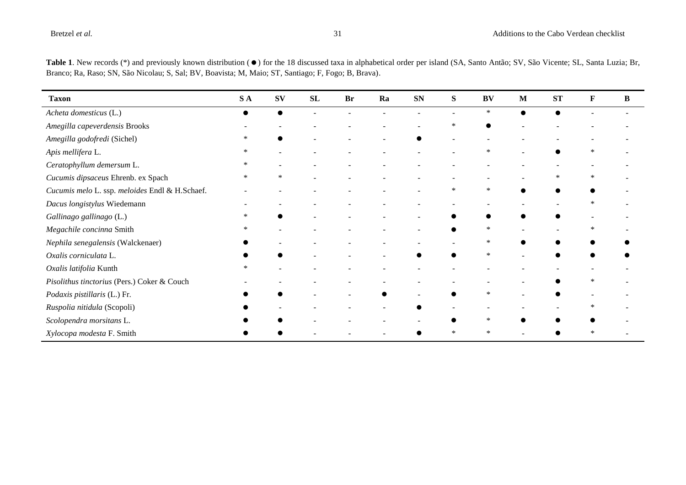| <b>Taxon</b>                                   | SA     | <b>SV</b>                | SL | <b>Br</b> | Ra | <b>SN</b> | S      | <b>BV</b>                | M                        | <b>ST</b>                | $\mathbf F$ | $\, {\bf B}$ |
|------------------------------------------------|--------|--------------------------|----|-----------|----|-----------|--------|--------------------------|--------------------------|--------------------------|-------------|--------------|
| Acheta domesticus (L.)                         |        | $\bullet$                |    |           |    |           |        | $\ast$                   | $\bullet$                |                          |             |              |
| Amegilla capeverdensis Brooks                  |        |                          |    |           |    |           | *      | ●                        |                          |                          |             |              |
| Amegilla godofredi (Sichel)                    | *      |                          |    |           |    |           |        |                          |                          |                          |             |              |
| Apis mellifera L.                              | $\ast$ |                          |    |           |    |           |        | $\ast$                   |                          |                          | $\ast$      |              |
| Ceratophyllum demersum L.                      | $\ast$ |                          |    |           |    |           |        |                          |                          |                          |             |              |
| Cucumis dipsaceus Ehrenb. ex Spach             | $\ast$ | $\ast$                   |    |           |    |           |        |                          |                          | $\ast$                   | ∗           |              |
| Cucumis melo L. ssp. meloides Endl & H.Schaef. |        |                          |    |           |    |           | *      | $\ast$                   |                          |                          |             |              |
| Dacus longistylus Wiedemann                    |        | $\overline{\phantom{a}}$ |    |           |    |           |        | $\overline{\phantom{a}}$ | $\overline{\phantom{a}}$ | $\overline{\phantom{a}}$ | *           |              |
| Gallinago gallinago (L.)                       | ∗      |                          |    |           |    |           |        |                          |                          |                          |             |              |
| Megachile concinna Smith                       | *      |                          |    |           |    |           |        | $\ast$                   |                          |                          | *           |              |
| Nephila senegalensis (Walckenaer)              |        |                          |    |           |    |           |        | $\ast$                   |                          |                          |             |              |
| Oxalis corniculata L.                          |        |                          |    |           |    |           |        | $\ast$                   |                          |                          |             |              |
| Oxalis latifolia Kunth                         | *      |                          |    |           |    |           |        |                          |                          |                          |             |              |
| Pisolithus tinctorius (Pers.) Coker & Couch    |        |                          |    |           |    |           |        |                          |                          |                          |             |              |
| Podaxis pistillaris (L.) Fr.                   |        |                          |    |           |    |           |        | $\ast$                   |                          |                          |             |              |
| Ruspolia nitidula (Scopoli)                    |        |                          |    |           |    |           |        |                          |                          |                          | *           |              |
| Scolopendra morsitans L.                       |        |                          |    |           |    |           |        | $\ast$                   |                          |                          |             |              |
| Xylocopa modesta F. Smith                      |        |                          |    |           |    |           | $\ast$ | $\ast$                   |                          |                          | $\ast$      |              |

Table 1. New records (\*) and previously known distribution ( $\bullet$ ) for the 18 discussed taxa in alphabetical order per island (SA, Santo Antão; SV, São Vicente; SL, Santa Luzia; Br, Branco; Ra, Raso; SN, São Nicolau; S, Sal; BV, Boavista; M, Maio; ST, Santiago; F, Fogo; B, Brava).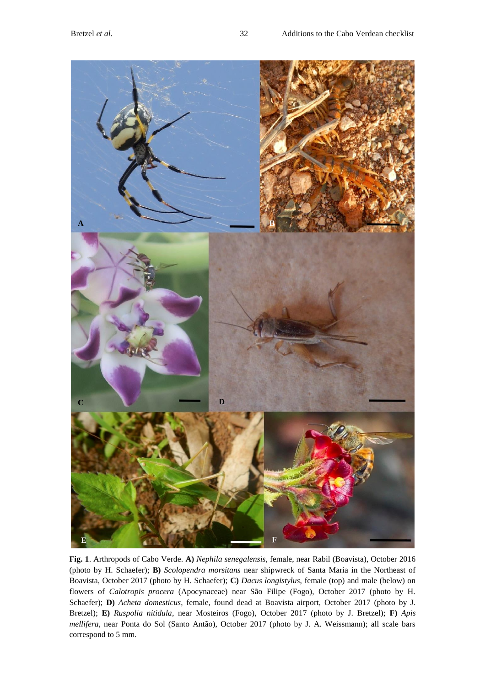

**Fig. 1**. Arthropods of Cabo Verde. **A)** *Nephila senegalensis*, female, near Rabil (Boavista), October 2016 (photo by H. Schaefer); **B)** *Scolopendra morsitans* near shipwreck of Santa Maria in the Northeast of Boavista, October 2017 (photo by H. Schaefer); **C)** *Dacus longistylus*, female (top) and male (below) on flowers of *Calotropis procera* (Apocynaceae) near São Filipe (Fogo), October 2017 (photo by H. Schaefer); **D)** *Acheta domesticus*, female, found dead at Boavista airport, October 2017 (photo by J. Bretzel); **E)** *Ruspolia nitidula*, near Mosteiros (Fogo), October 2017 (photo by J. Bretzel); **F)** *Apis mellifera*, near Ponta do Sol (Santo Antão), October 2017 (photo by J. A. Weissmann); all scale bars correspond to 5 mm.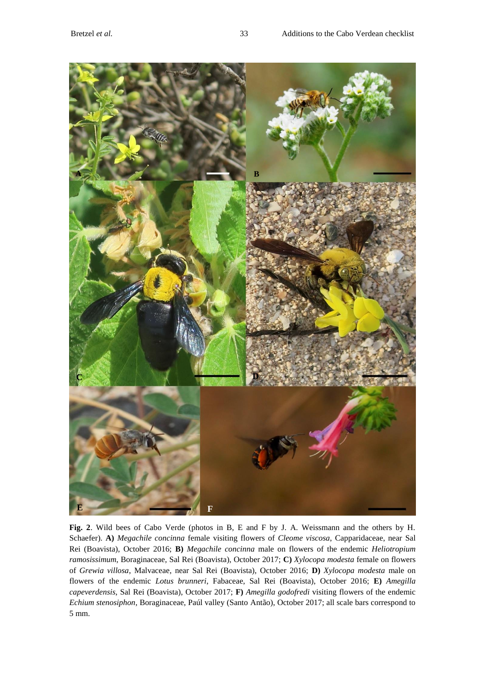

**Fig. 2**. Wild bees of Cabo Verde (photos in B, E and F by J. A. Weissmann and the others by H. Schaefer). **A)** *Megachile concinna* female visiting flowers of *Cleome viscosa*, Capparidaceae, near Sal Rei (Boavista), October 2016; **B)** *Megachile concinna* male on flowers of the endemic *Heliotropium ramosissimum*, Boraginaceae, Sal Rei (Boavista), October 2017; **C)** *Xylocopa modesta* female on flowers of *Grewia villosa*, Malvaceae, near Sal Rei (Boavista), October 2016; **D)** *Xylocopa modesta* male on flowers of the endemic *Lotus brunneri*, Fabaceae, Sal Rei (Boavista), October 2016; **E)** *Amegilla capeverdensis*, Sal Rei (Boavista), October 2017; **F)** *Amegilla godofredi* visiting flowers of the endemic *Echium stenosiphon*, Boraginaceae, Paúl valley (Santo Antão), October 2017; all scale bars correspond to 5 mm.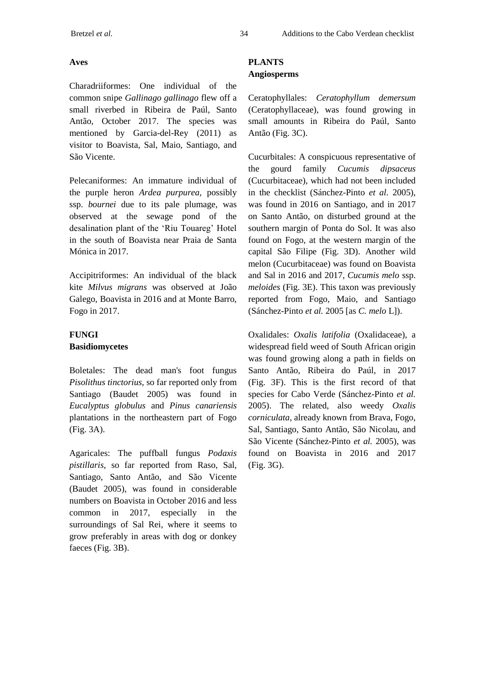# **Aves**

Charadriiformes: One individual of the common snipe *Gallinago gallinago* flew off a small riverbed in Ribeira de Paúl, Santo Antão, October 2017. The species was mentioned by Garcia-del-Rey (2011) as visitor to Boavista, Sal, Maio, Santiago, and São Vicente.

Pelecaniformes: An immature individual of the purple heron *Ardea purpurea,* possibly ssp. *bournei* due to its pale plumage, was observed at the sewage pond of the desalination plant of the 'Riu Touareg' Hotel in the south of Boavista near Praia de Santa Mónica in 2017.

Accipitriformes: An individual of the black kite *Milvus migrans* was observed at João Galego, Boavista in 2016 and at Monte Barro, Fogo in 2017.

# **FUNGI Basidiomycetes**

Boletales: The dead man's foot fungus *Pisolithus tinctorius*, so far reported only from Santiago (Baudet 2005) was found in *Eucalyptus globulus* and *Pinus canariensis* plantations in the northeastern part of Fogo (Fig. 3A).

Agaricales: The puffball fungus *Podaxis pistillaris*, so far reported from Raso, Sal, Santiago, Santo Antão, and São Vicente (Baudet 2005), was found in considerable numbers on Boavista in October 2016 and less common in 2017, especially in the surroundings of Sal Rei, where it seems to grow preferably in areas with dog or donkey faeces (Fig. 3B).

# **PLANTS Angiosperms**

Ceratophyllales: *Ceratophyllum demersum* (Ceratophyllaceae), was found growing in small amounts in Ribeira do Paúl, Santo Antão (Fig. 3C).

Cucurbitales: A conspicuous representative of the gourd family *Cucumis dipsaceus* (Cucurbitaceae), which had not been included in the checklist (Sánchez-Pinto *et al.* 2005), was found in 2016 on Santiago, and in 2017 on Santo Antão, on disturbed ground at the southern margin of Ponta do Sol. It was also found on Fogo, at the western margin of the capital São Filipe (Fig. 3D). Another wild melon (Cucurbitaceae) was found on Boavista and Sal in 2016 and 2017, *Cucumis melo* ssp. *meloides* (Fig. 3E). This taxon was previously reported from Fogo, Maio, and Santiago (Sánchez-Pinto *et al.* 2005 [as *C. melo* L]).

Oxalidales: *Oxalis latifolia* (Oxalidaceae), a widespread field weed of South African origin was found growing along a path in fields on Santo Antão, Ribeira do Paúl, in 2017 (Fig. 3F). This is the first record of that species for Cabo Verde (Sánchez-Pinto *et al.* 2005). The related, also weedy *Oxalis corniculata*, already known from Brava, Fogo, Sal, Santiago, Santo Antão, São Nicolau, and São Vicente (Sánchez-Pinto *et al.* 2005), was found on Boavista in 2016 and 2017 (Fig. 3G).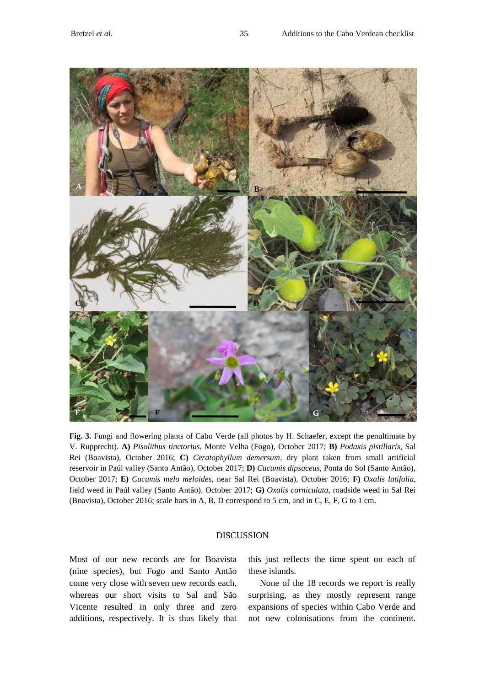

**Fig. 3.** Fungi and flowering plants of Cabo Verde (all photos by H. Schaefer, except the penultimate by V. Rupprecht). **A)** *Pisolithus tinctorius*, Monte Velha (Fogo), October 2017; **B)** *Podaxis pistillaris*, Sal Rei (Boavista), October 2016; **C)** *Ceratophyllum demersum*, dry plant taken from small artificial reservoir in Paúl valley (Santo Antão), October 2017; **D)** *Cucumis dipsaceus*, Ponta do Sol (Santo Antão), October 2017; **E)** *Cucumis melo meloides*, near Sal Rei (Boavista), October 2016; **F)** *Oxalis latifolia*, field weed in Paúl valley (Santo Antão), October 2017; **G)** *Oxalis corniculata*, roadside weed in Sal Rei (Boavista), October 2016; scale bars in A, B, D correspond to 5 cm, and in C, E, F, G to 1 cm.

### DISCUSSION

Most of our new records are for Boavista (nine species), but Fogo and Santo Antão come very close with seven new records each, whereas our short visits to Sal and São Vicente resulted in only three and zero additions, respectively. It is thus likely that this just reflects the time spent on each of these islands.

None of the 18 records we report is really surprising, as they mostly represent range expansions of species within Cabo Verde and not new colonisations from the continent.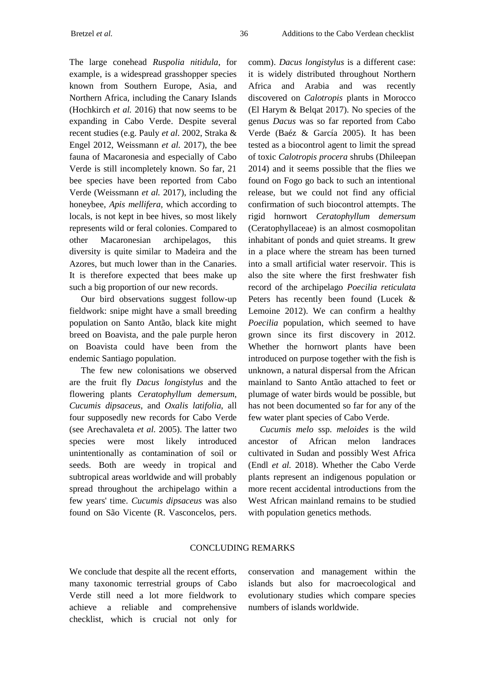The large conehead *Ruspolia nitidula*, for example, is a widespread grasshopper species known from Southern Europe, Asia, and Northern Africa, including the Canary Islands (Hochkirch *et al.* 2016) that now seems to be expanding in Cabo Verde. Despite several recent studies (e.g. Pauly *et al.* 2002, Straka & Engel 2012, Weissmann *et al.* 2017), the bee fauna of Macaronesia and especially of Cabo Verde is still incompletely known. So far, 21 bee species have been reported from Cabo Verde (Weissmann *et al.* 2017), including the honeybee, *Apis mellifera*, which according to locals, is not kept in bee hives, so most likely represents wild or feral colonies. Compared to other Macaronesian archipelagos, this diversity is quite similar to Madeira and the Azores, but much lower than in the Canaries. It is therefore expected that bees make up such a big proportion of our new records.

Our bird observations suggest follow-up fieldwork: snipe might have a small breeding population on Santo Antão, black kite might breed on Boavista, and the pale purple heron on Boavista could have been from the endemic Santiago population.

The few new colonisations we observed are the fruit fly *Dacus longistylus* and the flowering plants *Ceratophyllum demersum*, *Cucumis dipsaceus*, and *Oxalis latifolia*, all four supposedly new records for Cabo Verde (see Arechavaleta *et al.* 2005). The latter two species were most likely introduced unintentionally as contamination of soil or seeds. Both are weedy in tropical and subtropical areas worldwide and will probably spread throughout the archipelago within a few years' time. *Cucumis dipsaceus* was also found on São Vicente (R. Vasconcelos, pers.

comm). *Dacus longistylus* is a different case: it is widely distributed throughout Northern Africa and Arabia and was recently discovered on *Calotropis* plants in Morocco (El Harym & Belqat 2017). No species of the genus *Dacus* was so far reported from Cabo Verde (Baéz & García 2005). It has been tested as a biocontrol agent to limit the spread of toxic *Calotropis procera* shrubs (Dhileepan 2014) and it seems possible that the flies we found on Fogo go back to such an intentional release, but we could not find any official confirmation of such biocontrol attempts. The rigid hornwort *Ceratophyllum demersum* (Ceratophyllaceae) is an almost cosmopolitan inhabitant of ponds and quiet streams. It grew in a place where the stream has been turned into a small artificial water reservoir. This is also the site where the first freshwater fish record of the archipelago *Poecilia reticulata* Peters has recently been found (Lucek & Lemoine 2012). We can confirm a healthy *Poecilia* population, which seemed to have grown since its first discovery in 2012. Whether the hornwort plants have been introduced on purpose together with the fish is unknown, a natural dispersal from the African mainland to Santo Antão attached to feet or plumage of water birds would be possible, but has not been documented so far for any of the few water plant species of Cabo Verde.

*Cucumis melo* ssp. *meloides* is the wild ancestor of African melon landraces cultivated in Sudan and possibly West Africa (Endl *et al.* 2018). Whether the Cabo Verde plants represent an indigenous population or more recent accidental introductions from the West African mainland remains to be studied with population genetics methods.

## CONCLUDING REMARKS

We conclude that despite all the recent efforts, many taxonomic terrestrial groups of Cabo Verde still need a lot more fieldwork to achieve a reliable and comprehensive checklist, which is crucial not only for

conservation and management within the islands but also for macroecological and evolutionary studies which compare species numbers of islands worldwide.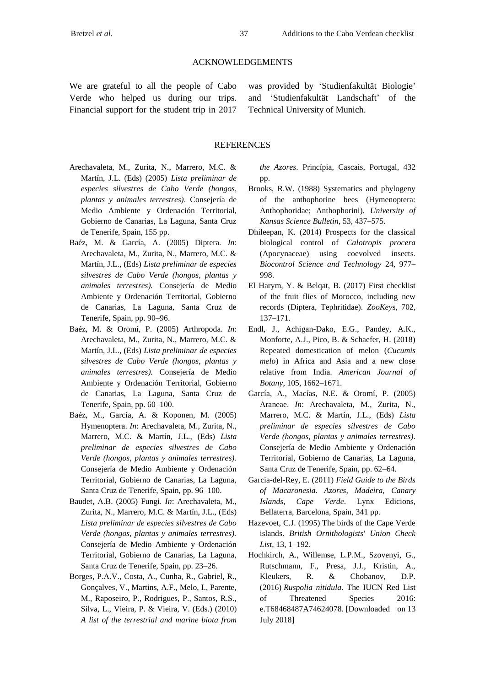#### ACKNOWLEDGEMENTS

We are grateful to all the people of Cabo Verde who helped us during our trips. Financial support for the student trip in 2017

was provided by 'Studienfakultät Biologie' and 'Studienfakultät Landschaft' of the Technical University of Munich.

#### **REFERENCES**

- Arechavaleta, M., Zurita, N., Marrero, M.C. & Martín, J.L. (Eds) (2005) *Lista preliminar de especies silvestres de Cabo Verde (hongos, plantas y animales terrestres)*. Consejería de Medio Ambiente y Ordenación Territorial, Gobierno de Canarias, La Laguna, Santa Cruz de Tenerife, Spain, 155 pp.
- Baéz, M. & García, A. (2005) Diptera. *In*: Arechavaleta, M., Zurita, N., Marrero, M.C. & Martín, J.L., (Eds) *Lista preliminar de especies silvestres de Cabo Verde (hongos, plantas y animales terrestres).* Consejería de Medio Ambiente y Ordenación Territorial, Gobierno de Canarias, La Laguna, Santa Cruz de Tenerife, Spain, pp. 90–96.
- Baéz, M. & Oromí, P. (2005) Arthropoda. *In*: Arechavaleta, M., Zurita, N., Marrero, M.C. & Martín, J.L., (Eds) *Lista preliminar de especies silvestres de Cabo Verde (hongos, plantas y animales terrestres).* Consejería de Medio Ambiente y Ordenación Territorial, Gobierno de Canarias, La Laguna, Santa Cruz de Tenerife, Spain, pp. 60–100.
- Baéz, M., García, A. & Koponen, M. (2005) Hymenoptera. *In*: Arechavaleta, M., Zurita, N., Marrero, M.C. & Martín, J.L., (Eds) *Lista preliminar de especies silvestres de Cabo Verde (hongos, plantas y animales terrestres).*  Consejería de Medio Ambiente y Ordenación Territorial, Gobierno de Canarias, La Laguna, Santa Cruz de Tenerife, Spain, pp. 96–100.
- Baudet, A.B. (2005) Fungi. *In*: Arechavaleta, M., Zurita, N., Marrero, M.C. & Martín, J.L., (Eds) *Lista preliminar de especies silvestres de Cabo Verde (hongos, plantas y animales terrestres).*  Consejería de Medio Ambiente y Ordenación Territorial, Gobierno de Canarias, La Laguna, Santa Cruz de Tenerife, Spain, pp. 23–26.
- Borges, P.A.V., Costa, A., Cunha, R., Gabriel, R., Gonçalves, V., Martins, A.F., Melo, I., Parente, M., Raposeiro, P., Rodrigues, P., Santos, R.S., Silva, L., Vieira, P. & Vieira, V. (Eds.) (2010) *A list of the terrestrial and marine biota from*

*the Azores*. Princípia, Cascais, Portugal, 432 pp.

- Brooks, R.W. (1988) Systematics and phylogeny of the anthophorine bees (Hymenoptera: Anthophoridae; Anthophorini). *University of Kansas Science Bulletin*, 53, 437–575.
- Dhileepan, K. (2014) Prospects for the classical biological control of *Calotropis procera* (Apocynaceae) using coevolved insects. *Biocontrol Science and Technology* 24, 977– 998.
- El Harym, Y. & Belqat, B. (2017) First checklist of the fruit flies of Morocco, including new records (Diptera, Tephritidae). *ZooKey*s, 702, 137–171.
- Endl, J., Achigan-Dako, E.G., Pandey, A.K., Monforte, A.J., Pico, B. & Schaefer, H. (2018) Repeated domestication of melon (*Cucumis melo*) in Africa and Asia and a new close relative from India. *American Journal of Botany*, 105, 1662–1671.
- García, A., Macías, N.E. & Oromí, P. (2005) Araneae. *In*: Arechavaleta, M., Zurita, N., Marrero, M.C. & Martín, J.L., (Eds) *Lista preliminar de especies silvestres de Cabo Verde (hongos, plantas y animales terrestres)*. Consejería de Medio Ambiente y Ordenación Territorial, Gobierno de Canarias, La Laguna, Santa Cruz de Tenerife, Spain, pp. 62–64.
- Garcia-del-Rey, E. (2011) *Field Guide to the Birds of Macaronesia. Azores, Madeira, Canary Islands, Cape Verde*. Lynx Edicions, Bellaterra, Barcelona, Spain, 341 pp.
- Hazevoet, C.J. (1995) The birds of the Cape Verde islands. *British Ornithologists' Union Check List*, 13, 1–192.
- Hochkirch, A., Willemse, L.P.M., Szovenyi, G., Rutschmann, F., Presa, J.J., Kristin, A., Kleukers, R. & Chobanov, D.P. (2016) *Ruspolia nitidula*. The IUCN Red List of Threatened Species 2016: e.T68468487A74624078. [Downloaded on 13 July 2018]